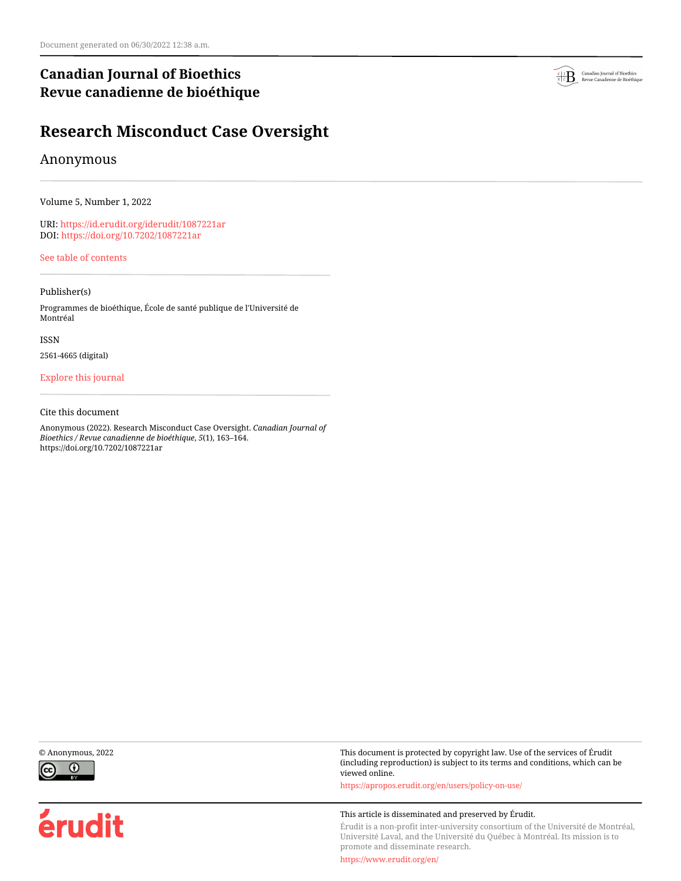# **Canadian Journal of Bioethics Revue canadienne de bioéthique**



# Anonymous

Volume 5, Number 1, 2022

URI:<https://id.erudit.org/iderudit/1087221ar> DOI:<https://doi.org/10.7202/1087221ar>

[See table of contents](https://www.erudit.org/en/journals/bioethics/2022-v5-n1-bioethics06848/)

## Publisher(s)

Programmes de bioéthique, École de santé publique de l'Université de Montréal

ISSN

2561-4665 (digital)

## [Explore this journal](https://www.erudit.org/en/journals/bioethics/)

### Cite this document

Anonymous (2022). Research Misconduct Case Oversight. *Canadian Journal of Bioethics / Revue canadienne de bioéthique*, *5*(1), 163–164. https://doi.org/10.7202/1087221ar





érudit

© Anonymous, 2022 This document is protected by copyright law. Use of the services of Érudit (including reproduction) is subject to its terms and conditions, which can be viewed online.

<https://apropos.erudit.org/en/users/policy-on-use/>

### This article is disseminated and preserved by Érudit.

Érudit is a non-profit inter-university consortium of the Université de Montréal, Université Laval, and the Université du Québec à Montréal. Its mission is to promote and disseminate research.

<https://www.erudit.org/en/>

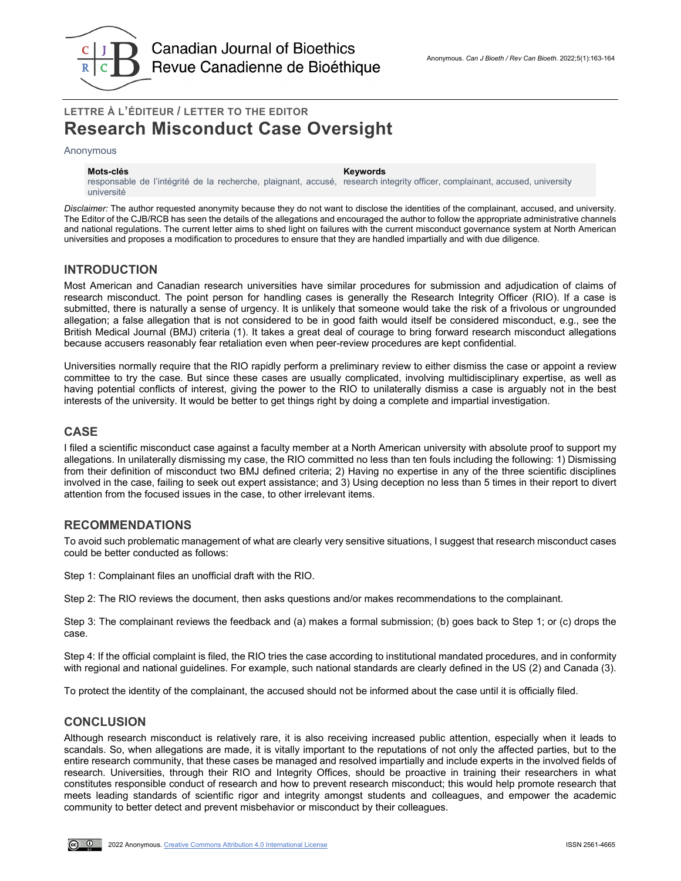

# **LETTRE À L'ÉDITEUR / LETTER TO THE EDITOR Research Misconduct Case Oversight**

#### Anonymous

#### **Mots-clés Keywords**

responsable de l'intégrité de la recherche, plaignant, accusé, research integrity officer, complainant, accused, university université

*Disclaimer:* The author requested anonymity because they do not want to disclose the identities of the complainant, accused, and university. The Editor of the CJB/RCB has seen the details of the allegations and encouraged the author to follow the appropriate administrative channels and national regulations. The current letter aims to shed light on failures with the current misconduct governance system at North American universities and proposes a modification to procedures to ensure that they are handled impartially and with due diligence.

## **INTRODUCTION**

Most American and Canadian research universities have similar procedures for submission and adjudication of claims of research misconduct. The point person for handling cases is generally the Research Integrity Officer (RIO). If a case is submitted, there is naturally a sense of urgency. It is unlikely that someone would take the risk of a frivolous or ungrounded allegation; a false allegation that is not considered to be in good faith would itself be considered misconduct, e.g., see the British Medical Journal (BMJ) criteria (1). It takes a great deal of courage to bring forward research misconduct allegations because accusers reasonably fear retaliation even when peer-review procedures are kept confidential.

Universities normally require that the RIO rapidly perform a preliminary review to either dismiss the case or appoint a review committee to try the case. But since these cases are usually complicated, involving multidisciplinary expertise, as well as having potential conflicts of interest, giving the power to the RIO to unilaterally dismiss a case is arguably not in the best interests of the university. It would be better to get things right by doing a complete and impartial investigation.

## **CASE**

I filed a scientific misconduct case against a faculty member at a North American university with absolute proof to support my allegations. In unilaterally dismissing my case, the RIO committed no less than ten fouls including the following: 1) Dismissing from their definition of misconduct two BMJ defined criteria; 2) Having no expertise in any of the three scientific disciplines involved in the case, failing to seek out expert assistance; and 3) Using deception no less than 5 times in their report to divert attention from the focused issues in the case, to other irrelevant items.

## **RECOMMENDATIONS**

To avoid such problematic management of what are clearly very sensitive situations, I suggest that research misconduct cases could be better conducted as follows:

Step 1: Complainant files an unofficial draft with the RIO.

Step 2: The RIO reviews the document, then asks questions and/or makes recommendations to the complainant.

Step 3: The complainant reviews the feedback and (a) makes a formal submission; (b) goes back to Step 1; or (c) drops the case.

Step 4: If the official complaint is filed, the RIO tries the case according to institutional mandated procedures, and in conformity with regional and national guidelines. For example, such national standards are clearly defined in the US (2) and Canada (3).

To protect the identity of the complainant, the accused should not be informed about the case until it is officially filed.

## **CONCLUSION**

Although research misconduct is relatively rare, it is also receiving increased public attention, especially when it leads to scandals. So, when allegations are made, it is vitally important to the reputations of not only the affected parties, but to the entire research community, that these cases be managed and resolved impartially and include experts in the involved fields of research. Universities, through their RIO and Integrity Offices, should be proactive in training their researchers in what constitutes responsible conduct of research and how to prevent research misconduct; this would help promote research that meets leading standards of scientific rigor and integrity amongst students and colleagues, and empower the academic community to better detect and prevent misbehavior or misconduct by their colleagues.